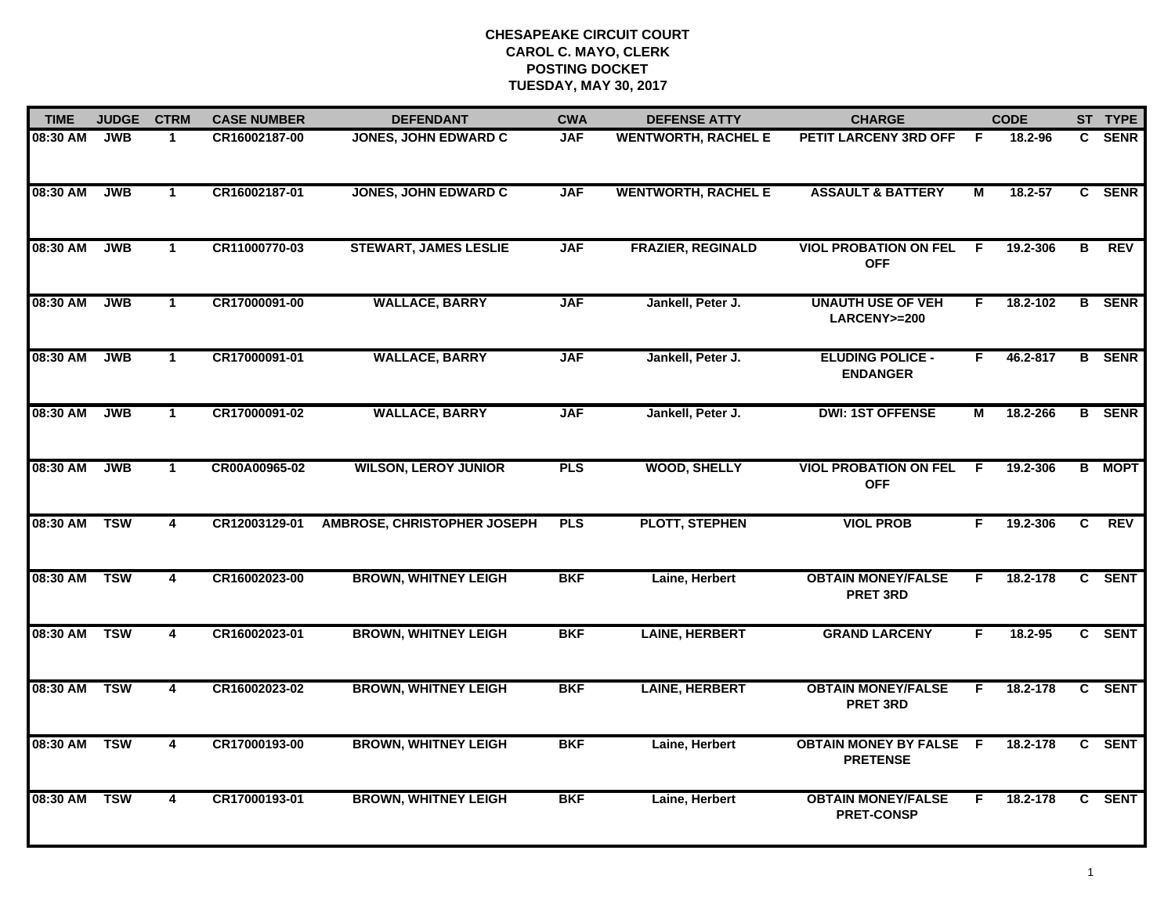| <b>TIME</b> | <b>JUDGE</b> | <b>CTRM</b>    | <b>CASE NUMBER</b> | <b>DEFENDANT</b>                   | <b>CWA</b> | <b>DEFENSE ATTY</b>        | <b>CHARGE</b>                                   |     | <b>CODE</b> |              | ST TYPE       |
|-------------|--------------|----------------|--------------------|------------------------------------|------------|----------------------------|-------------------------------------------------|-----|-------------|--------------|---------------|
| 08:30 AM    | <b>JWB</b>   | $\mathbf 1$    | CR16002187-00      | <b>JONES, JOHN EDWARD C</b>        | <b>JAF</b> | <b>WENTWORTH, RACHEL E</b> | PETIT LARCENY 3RD OFF                           | -F  | 18.2-96     | C.           | <b>SENR</b>   |
| 08:30 AM    | <b>JWB</b>   | $\mathbf{1}$   | CR16002187-01      | <b>JONES, JOHN EDWARD C</b>        | <b>JAF</b> | <b>WENTWORTH, RACHEL E</b> | <b>ASSAULT &amp; BATTERY</b>                    | М   | $18.2 - 57$ | $\mathbf{c}$ | <b>SENR</b>   |
| 08:30 AM    | <b>JWB</b>   | $\mathbf{1}$   | CR11000770-03      | <b>STEWART, JAMES LESLIE</b>       | <b>JAF</b> | <b>FRAZIER, REGINALD</b>   | <b>VIOL PROBATION ON FEL</b><br><b>OFF</b>      | -F  | 19.2-306    | в            | <b>REV</b>    |
| 08:30 AM    | <b>JWB</b>   | $\mathbf{1}$   | CR17000091-00      | <b>WALLACE, BARRY</b>              | <b>JAF</b> | Jankell, Peter J.          | <b>UNAUTH USE OF VEH</b><br>LARCENY>=200        | F.  | 18.2-102    |              | <b>B</b> SENR |
| 08:30 AM    | <b>JWB</b>   | $\mathbf{1}$   | CR17000091-01      | <b>WALLACE, BARRY</b>              | <b>JAF</b> | Jankell, Peter J.          | <b>ELUDING POLICE -</b><br><b>ENDANGER</b>      | F.  | 46.2-817    |              | <b>B</b> SENR |
| 08:30 AM    | <b>JWB</b>   | $\mathbf{1}$   | CR17000091-02      | <b>WALLACE, BARRY</b>              | <b>JAF</b> | Jankell, Peter J.          | <b>DWI: 1ST OFFENSE</b>                         | М   | 18.2-266    |              | <b>B</b> SENR |
| 08:30 AM    | <b>JWB</b>   | $\mathbf{1}$   | CR00A00965-02      | <b>WILSON, LEROY JUNIOR</b>        | <b>PLS</b> | <b>WOOD, SHELLY</b>        | <b>VIOL PROBATION ON FEL</b><br><b>OFF</b>      | F.  | 19.2-306    |              | <b>B</b> MOPT |
| 08:30 AM    | <b>TSW</b>   | 4              | CR12003129-01      | <b>AMBROSE, CHRISTOPHER JOSEPH</b> | <b>PLS</b> | <b>PLOTT, STEPHEN</b>      | <b>VIOL PROB</b>                                | F   | 19.2-306    | C            | <b>REV</b>    |
| 08:30 AM    | <b>TSW</b>   | 4              | CR16002023-00      | <b>BROWN, WHITNEY LEIGH</b>        | <b>BKF</b> | Laine, Herbert             | <b>OBTAIN MONEY/FALSE</b><br><b>PRET 3RD</b>    | F   | 18.2-178    |              | C SENT        |
| 08:30 AM    | <b>TSW</b>   | $\overline{4}$ | CR16002023-01      | <b>BROWN, WHITNEY LEIGH</b>        | <b>BKF</b> | <b>LAINE, HERBERT</b>      | <b>GRAND LARCENY</b>                            | F   | $18.2 - 95$ |              | C SENT        |
| 08:30 AM    | <b>TSW</b>   | 4              | CR16002023-02      | <b>BROWN, WHITNEY LEIGH</b>        | <b>BKF</b> | <b>LAINE, HERBERT</b>      | <b>OBTAIN MONEY/FALSE</b><br><b>PRET 3RD</b>    | F.  | 18.2-178    | C.           | <b>SENT</b>   |
| 08:30 AM    | <b>TSW</b>   | 4              | CR17000193-00      | <b>BROWN, WHITNEY LEIGH</b>        | <b>BKF</b> | Laine, Herbert             | <b>OBTAIN MONEY BY FALSE</b><br><b>PRETENSE</b> | - F | 18.2-178    |              | C SENT        |
| 08:30 AM    | <b>TSW</b>   | 4              | CR17000193-01      | <b>BROWN, WHITNEY LEIGH</b>        | <b>BKF</b> | Laine, Herbert             | <b>OBTAIN MONEY/FALSE</b><br><b>PRET-CONSP</b>  | F.  | 18.2-178    |              | C SENT        |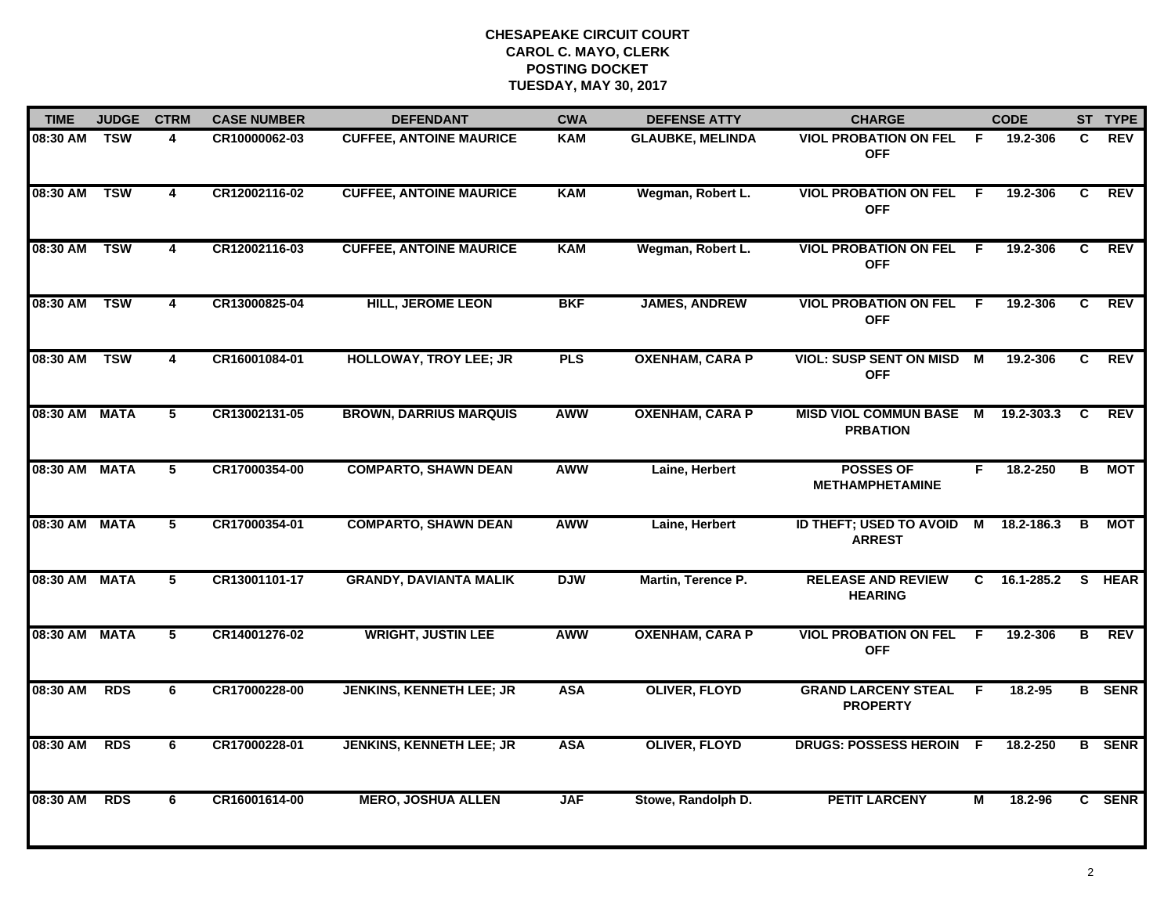| <b>TIME</b>   | <b>JUDGE</b> | <b>CTRM</b>             | <b>CASE NUMBER</b> | <b>DEFENDANT</b>                | <b>CWA</b> | <b>DEFENSE ATTY</b>     | <b>CHARGE</b>                                   |     | <b>CODE</b> |                         | ST TYPE       |
|---------------|--------------|-------------------------|--------------------|---------------------------------|------------|-------------------------|-------------------------------------------------|-----|-------------|-------------------------|---------------|
| 08:30 AM      | TSW          | 4                       | CR10000062-03      | <b>CUFFEE, ANTOINE MAURICE</b>  | <b>KAM</b> | <b>GLAUBKE, MELINDA</b> | <b>VIOL PROBATION ON FEL</b><br><b>OFF</b>      | - F | 19.2-306    | C.                      | <b>REV</b>    |
| 08:30 AM TSW  |              | $\overline{\mathbf{4}}$ | CR12002116-02      | <b>CUFFEE, ANTOINE MAURICE</b>  | <b>KAM</b> | Wegman, Robert L.       | <b>VIOL PROBATION ON FEL</b><br><b>OFF</b>      | - F | 19.2-306    | C                       | <b>REV</b>    |
| 08:30 AM      | <b>TSW</b>   | $\overline{4}$          | CR12002116-03      | <b>CUFFEE, ANTOINE MAURICE</b>  | <b>KAM</b> | Wegman, Robert L.       | <b>VIOL PROBATION ON FEL</b><br><b>OFF</b>      | - F | 19.2-306    | C.                      | <b>REV</b>    |
| 08:30 AM      | <b>TSW</b>   | 4                       | CR13000825-04      | <b>HILL, JEROME LEON</b>        | <b>BKF</b> | <b>JAMES, ANDREW</b>    | <b>VIOL PROBATION ON FEL</b><br><b>OFF</b>      | -F. | 19.2-306    | C.                      | <b>REV</b>    |
| 08:30 AM      | <b>TSW</b>   | 4                       | CR16001084-01      | <b>HOLLOWAY, TROY LEE; JR</b>   | <b>PLS</b> | <b>OXENHAM, CARA P</b>  | <b>VIOL: SUSP SENT ON MISD</b><br><b>OFF</b>    | M   | 19.2-306    | C.                      | <b>REV</b>    |
| 08:30 AM MATA |              | 5                       | CR13002131-05      | <b>BROWN, DARRIUS MARQUIS</b>   | <b>AWW</b> | <b>OXENHAM, CARA P</b>  | MISD VIOL COMMUN BASE M<br><b>PRBATION</b>      |     | 19.2-303.3  | C                       | REV           |
| 08:30 AM MATA |              | $\overline{5}$          | CR17000354-00      | <b>COMPARTO, SHAWN DEAN</b>     | <b>AWW</b> | Laine, Herbert          | <b>POSSES OF</b><br><b>METHAMPHETAMINE</b>      | F.  | 18.2-250    | $\overline{\mathbf{B}}$ | <b>MOT</b>    |
| 08:30 AM MATA |              | $\overline{5}$          | CR17000354-01      | <b>COMPARTO, SHAWN DEAN</b>     | AWW        | Laine, Herbert          | <b>ID THEFT; USED TO AVOID</b><br><b>ARREST</b> | M   | 18.2-186.3  | B                       | МОТ           |
| 08:30 AM MATA |              | 5                       | CR13001101-17      | <b>GRANDY, DAVIANTA MALIK</b>   | <b>DJW</b> | Martin, Terence P.      | <b>RELEASE AND REVIEW</b><br><b>HEARING</b>     | C.  | 16.1-285.2  |                         | S HEAR        |
| 08:30 AM MATA |              | 5                       | CR14001276-02      | <b>WRIGHT, JUSTIN LEE</b>       | <b>AWW</b> | <b>OXENHAM, CARA P</b>  | <b>VIOL PROBATION ON FEL</b><br><b>OFF</b>      | E   | 19.2-306    | B                       | <b>REV</b>    |
| 08:30 AM      | <b>RDS</b>   | 6                       | CR17000228-00      | <b>JENKINS, KENNETH LEE; JR</b> | <b>ASA</b> | <b>OLIVER, FLOYD</b>    | <b>GRAND LARCENY STEAL</b><br><b>PROPERTY</b>   | F.  | $18.2 - 95$ |                         | <b>B</b> SENR |
| 08:30 AM      | <b>RDS</b>   | 6                       | CR17000228-01      | <b>JENKINS, KENNETH LEE; JR</b> | <b>ASA</b> | <b>OLIVER, FLOYD</b>    | <b>DRUGS: POSSESS HEROIN</b>                    | -F  | 18.2-250    |                         | <b>B</b> SENR |
| 08:30 AM      | <b>RDS</b>   | 6                       | CR16001614-00      | <b>MERO, JOSHUA ALLEN</b>       | <b>JAF</b> | Stowe, Randolph D.      | <b>PETIT LARCENY</b>                            | М   | 18.2-96     |                         | C SENR        |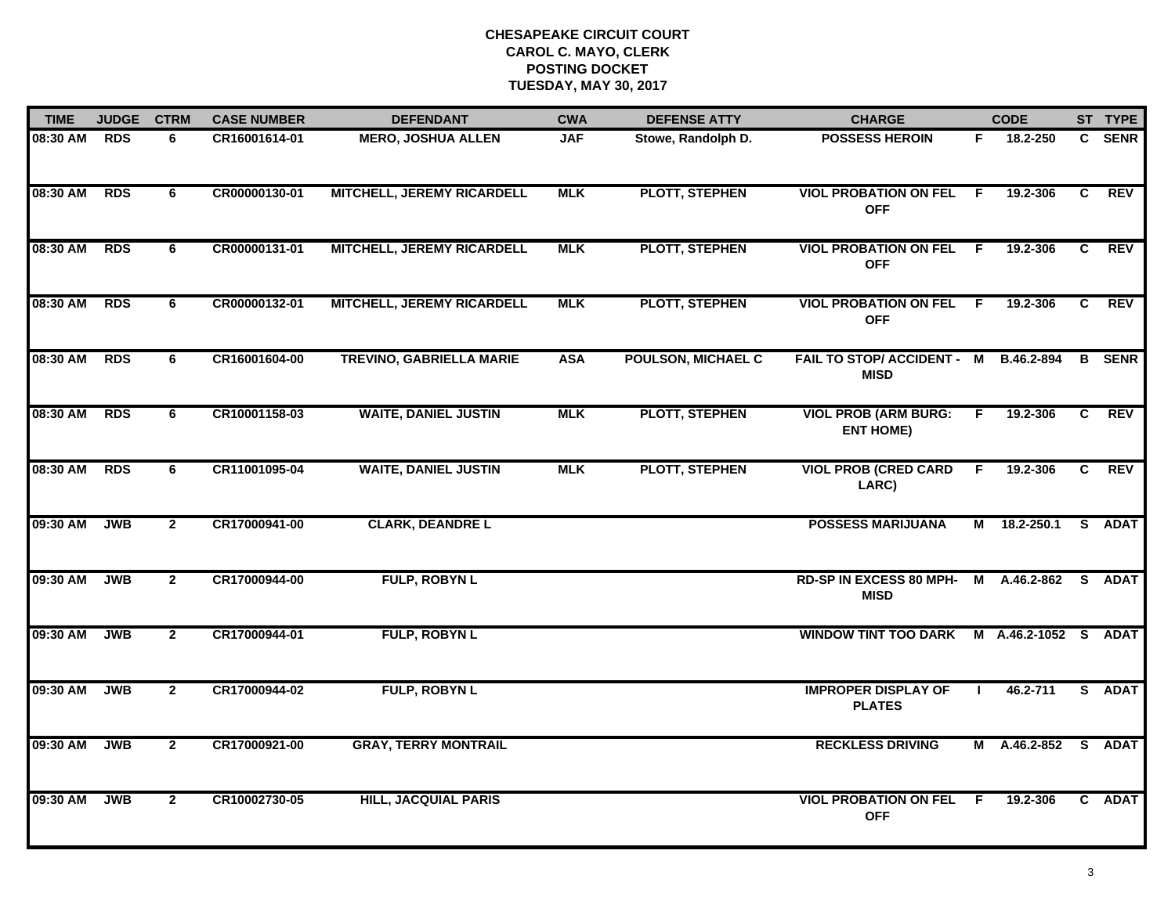| <b>TIME</b> | <b>JUDGE</b> | <b>CTRM</b>    | <b>CASE NUMBER</b> | <b>DEFENDANT</b>                  | <b>CWA</b> | <b>DEFENSE ATTY</b>       | <b>CHARGE</b>                                   |     | <b>CODE</b>  |    | ST TYPE       |
|-------------|--------------|----------------|--------------------|-----------------------------------|------------|---------------------------|-------------------------------------------------|-----|--------------|----|---------------|
| 08:30 AM    | <b>RDS</b>   | 6              | CR16001614-01      | <b>MERO, JOSHUA ALLEN</b>         | <b>JAF</b> | Stowe, Randolph D.        | <b>POSSESS HEROIN</b>                           | F.  | 18.2-250     |    | C SENR        |
| 08:30 AM    | <b>RDS</b>   | 6              | CR00000130-01      | <b>MITCHELL, JEREMY RICARDELL</b> | <b>MLK</b> | <b>PLOTT, STEPHEN</b>     | <b>VIOL PROBATION ON FEL</b><br><b>OFF</b>      | - F | 19.2-306     | C  | <b>REV</b>    |
| 08:30 AM    | <b>RDS</b>   | 6              | CR00000131-01      | <b>MITCHELL, JEREMY RICARDELL</b> | <b>MLK</b> | <b>PLOTT, STEPHEN</b>     | <b>VIOL PROBATION ON FEL</b><br><b>OFF</b>      | - F | 19.2-306     | C  | <b>REV</b>    |
| 08:30 AM    | <b>RDS</b>   | 6              | CR00000132-01      | MITCHELL, JEREMY RICARDELL        | <b>MLK</b> | <b>PLOTT, STEPHEN</b>     | <b>VIOL PROBATION ON FEL F</b><br><b>OFF</b>    |     | 19.2-306     | C  | <b>REV</b>    |
| 08:30 AM    | <b>RDS</b>   | 6              | CR16001604-00      | <b>TREVINO, GABRIELLA MARIE</b>   | <b>ASA</b> | <b>POULSON, MICHAEL C</b> | FAIL TO STOP/ ACCIDENT - M<br><b>MISD</b>       |     | B.46.2-894   |    | <b>B</b> SENR |
| 08:30 AM    | <b>RDS</b>   | 6              | CR10001158-03      | <b>WAITE, DANIEL JUSTIN</b>       | <b>MLK</b> | <b>PLOTT, STEPHEN</b>     | <b>VIOL PROB (ARM BURG:</b><br><b>ENT HOME)</b> | F.  | 19.2-306     | C  | <b>REV</b>    |
| 08:30 AM    | <b>RDS</b>   | 6              | CR11001095-04      | <b>WAITE, DANIEL JUSTIN</b>       | <b>MLK</b> | <b>PLOTT, STEPHEN</b>     | <b>VIOL PROB (CRED CARD</b><br>LARC)            | F.  | 19.2-306     | C. | <b>REV</b>    |
| 09:30 AM    | <b>JWB</b>   | $\mathbf{2}$   | CR17000941-00      | <b>CLARK, DEANDRE L</b>           |            |                           | <b>POSSESS MARIJUANA</b>                        |     | M 18.2-250.1 |    | S ADAT        |
| 09:30 AM    | <b>JWB</b>   | $\overline{2}$ | CR17000944-00      | <b>FULP, ROBYN L</b>              |            |                           | RD-SP IN EXCESS 80 MPH-<br><b>MISD</b>          |     | M A.46.2-862 |    | S ADAT        |
| 09:30 AM    | <b>JWB</b>   | $\overline{2}$ | CR17000944-01      | FULP, ROBYN L                     |            |                           | WINDOW TINT TOO DARK M A.46.2-1052 S            |     |              |    | <b>ADAT</b>   |
| 09:30 AM    | <b>JWB</b>   | $\mathbf{2}$   | CR17000944-02      | <b>FULP, ROBYN L</b>              |            |                           | <b>IMPROPER DISPLAY OF</b><br><b>PLATES</b>     |     | 46.2-711     |    | S ADAT        |
| 09:30 AM    | <b>JWB</b>   | $\overline{2}$ | CR17000921-00      | <b>GRAY, TERRY MONTRAIL</b>       |            |                           | <b>RECKLESS DRIVING</b>                         |     | M A.46.2-852 |    | S ADAT        |
| 09:30 AM    | <b>JWB</b>   | $\mathbf{2}$   | CR10002730-05      | <b>HILL, JACQUIAL PARIS</b>       |            |                           | <b>VIOL PROBATION ON FEL</b><br><b>OFF</b>      | -F  | 19.2-306     |    | C ADAT        |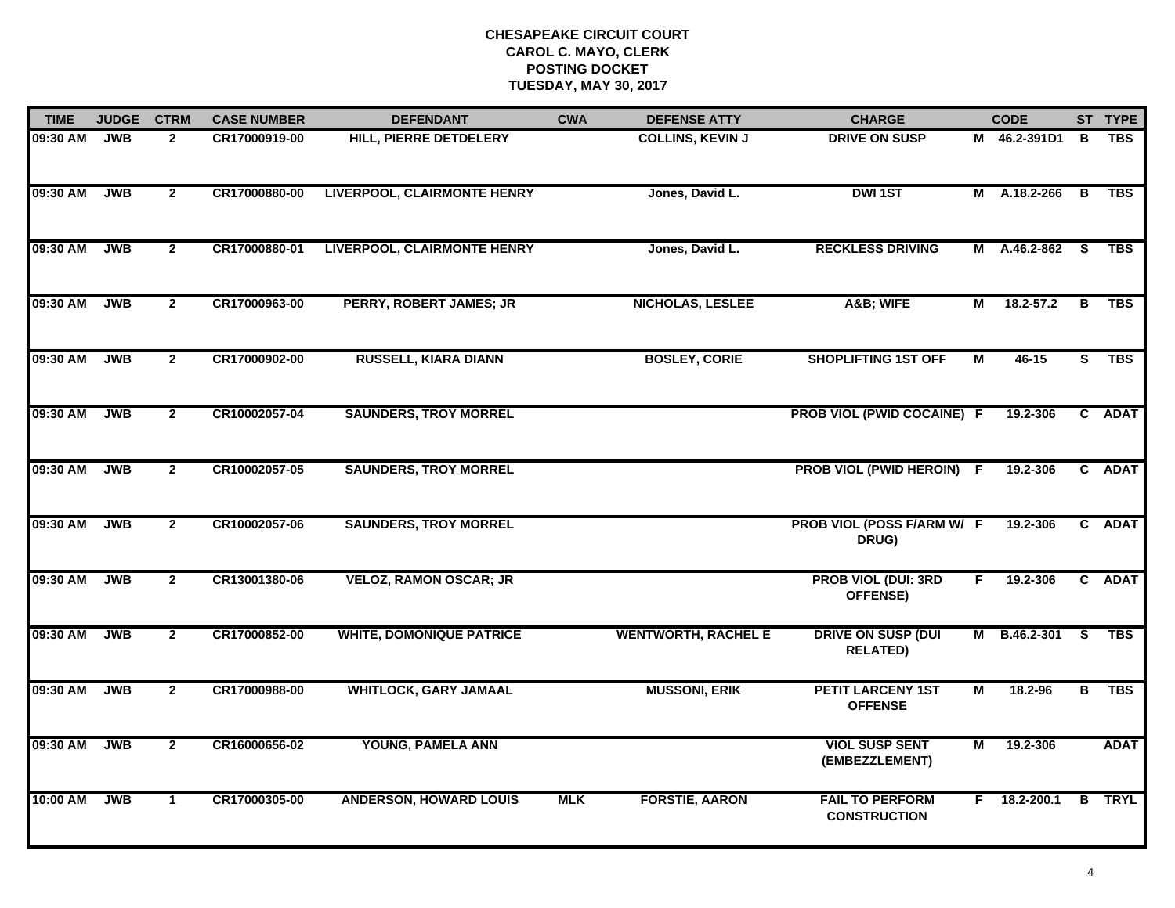| <b>TIME</b> | <b>JUDGE</b> | <b>CTRM</b>    | <b>CASE NUMBER</b> | <b>DEFENDANT</b>                   | <b>CWA</b> | <b>DEFENSE ATTY</b>        | <b>CHARGE</b>                                 |    | <b>CODE</b>    |                         | ST TYPE       |
|-------------|--------------|----------------|--------------------|------------------------------------|------------|----------------------------|-----------------------------------------------|----|----------------|-------------------------|---------------|
| 09:30 AM    | JWB          | $\mathbf{2}$   | CR17000919-00      | <b>HILL, PIERRE DETDELERY</b>      |            | <b>COLLINS, KEVIN J</b>    | <b>DRIVE ON SUSP</b>                          |    | M 46.2-391D1   | В                       | <b>TBS</b>    |
| 09:30 AM    | <b>JWB</b>   | $\overline{2}$ | CR17000880-00      | <b>LIVERPOOL, CLAIRMONTE HENRY</b> |            | Jones, David L.            | <b>DWI1ST</b>                                 |    | M A.18.2-266   | $\overline{B}$          | <b>TBS</b>    |
| 09:30 AM    | <b>JWB</b>   | $\overline{2}$ | CR17000880-01      | <b>LIVERPOOL, CLAIRMONTE HENRY</b> |            | Jones, David L.            | <b>RECKLESS DRIVING</b>                       |    | M A.46.2-862   | $\overline{\mathbf{s}}$ | <b>TBS</b>    |
| 09:30 AM    | <b>JWB</b>   | $\mathbf{2}$   | CR17000963-00      | <b>PERRY, ROBERT JAMES; JR</b>     |            | <b>NICHOLAS, LESLEE</b>    | A&B WIFE                                      | М  | $18.2 - 57.2$  | B                       | <b>TBS</b>    |
| 09:30 AM    | <b>JWB</b>   | $\overline{2}$ | CR17000902-00      | <b>RUSSELL, KIARA DIANN</b>        |            | <b>BOSLEY, CORIE</b>       | <b>SHOPLIFTING 1ST OFF</b>                    | М  | 46-15          | s                       | <b>TBS</b>    |
| 09:30 AM    | <b>JWB</b>   | $\overline{2}$ | CR10002057-04      | <b>SAUNDERS, TROY MORREL</b>       |            |                            | PROB VIOL (PWID COCAINE) F                    |    | 19.2-306       |                         | C ADAT        |
| 09:30 AM    | <b>JWB</b>   | $\overline{2}$ | CR10002057-05      | <b>SAUNDERS, TROY MORREL</b>       |            |                            | PROB VIOL (PWID HEROIN) F                     |    | 19.2-306       | C                       | <b>ADAT</b>   |
| 09:30 AM    | <b>JWB</b>   | $\overline{2}$ | CR10002057-06      | <b>SAUNDERS, TROY MORREL</b>       |            |                            | PROB VIOL (POSS F/ARM W/ F<br>DRUG)           |    | 19.2-306       |                         | C ADAT        |
| 09:30 AM    | <b>JWB</b>   | $\overline{2}$ | CR13001380-06      | <b>VELOZ, RAMON OSCAR; JR</b>      |            |                            | <b>PROB VIOL (DUI: 3RD</b><br>OFFENSE)        | F. | 19.2-306       |                         | C ADAT        |
| 09:30 AM    | <b>JWB</b>   | $\overline{2}$ | CR17000852-00      | <b>WHITE, DOMONIQUE PATRICE</b>    |            | <b>WENTWORTH, RACHEL E</b> | <b>DRIVE ON SUSP (DUI</b><br><b>RELATED)</b>  | М  | B.46.2-301     | S.                      | <b>TBS</b>    |
| 09:30 AM    | <b>JWB</b>   | $\mathbf{2}$   | CR17000988-00      | <b>WHITLOCK, GARY JAMAAL</b>       |            | <b>MUSSONI, ERIK</b>       | <b>PETIT LARCENY 1ST</b><br><b>OFFENSE</b>    | М  | 18.2-96        | B                       | <b>TBS</b>    |
| 09:30 AM    | <b>JWB</b>   | $\overline{2}$ | CR16000656-02      | YOUNG, PAMELA ANN                  |            |                            | <b>VIOL SUSP SENT</b><br>(EMBEZZLEMENT)       | M  | 19.2-306       |                         | <b>ADAT</b>   |
| 10:00 AM    | <b>JWB</b>   | $\mathbf{1}$   | CR17000305-00      | <b>ANDERSON, HOWARD LOUIS</b>      | <b>MLK</b> | <b>FORSTIE, AARON</b>      | <b>FAIL TO PERFORM</b><br><b>CONSTRUCTION</b> |    | $F$ 18.2-200.1 |                         | <b>B</b> TRYL |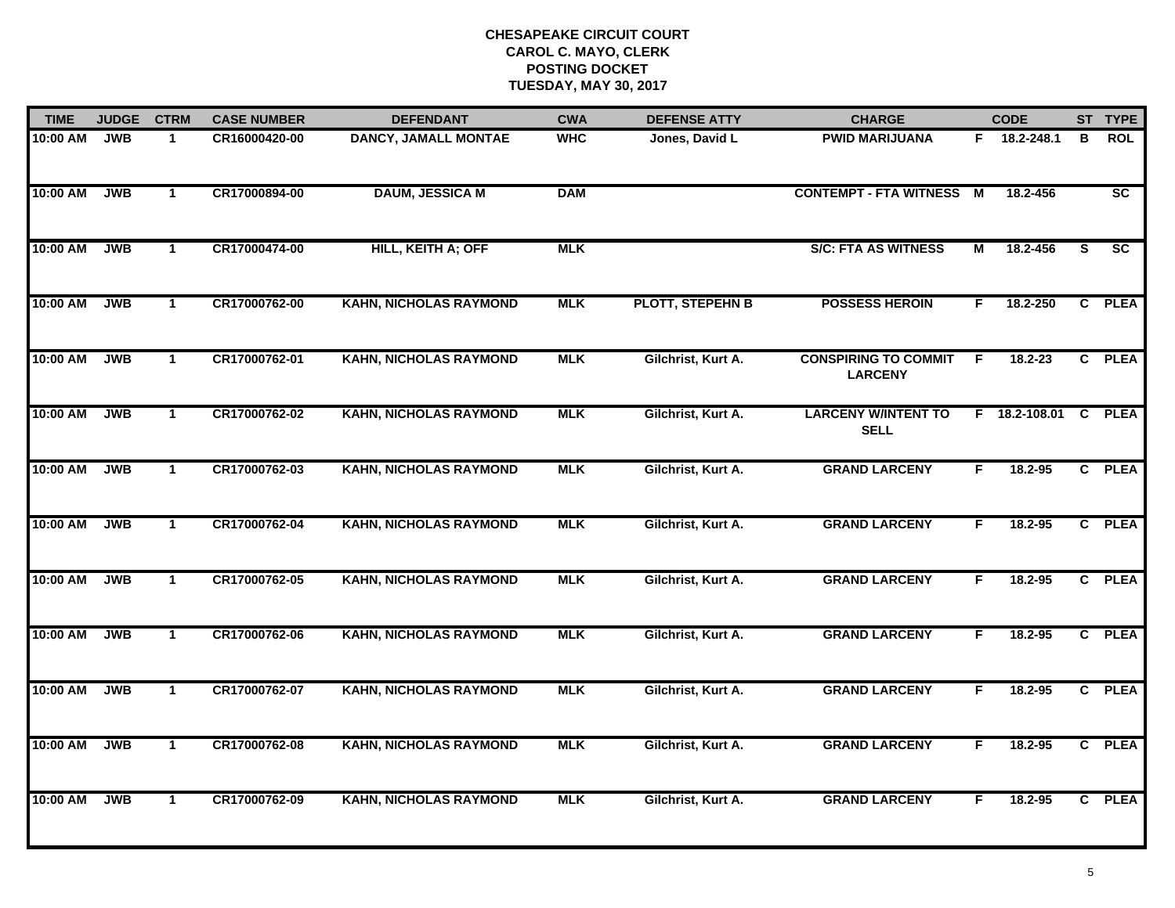| <b>TIME</b> | <b>JUDGE</b> | <b>CTRM</b>  | <b>CASE NUMBER</b> | <b>DEFENDANT</b>              | <b>CWA</b> | <b>DEFENSE ATTY</b>     | <b>CHARGE</b>                                 |    | <b>CODE</b>     |   | ST TYPE                |
|-------------|--------------|--------------|--------------------|-------------------------------|------------|-------------------------|-----------------------------------------------|----|-----------------|---|------------------------|
| 10:00 AM    | <b>JWB</b>   | $\mathbf 1$  | CR16000420-00      | <b>DANCY, JAMALL MONTAE</b>   | <b>WHC</b> | Jones, David L          | <b>PWID MARIJUANA</b>                         |    | F 18.2-248.1    | в | <b>ROL</b>             |
| 10:00 AM    | <b>JWB</b>   | $\mathbf{1}$ | CR17000894-00      | <b>DAUM, JESSICA M</b>        | <b>DAM</b> |                         | <b>CONTEMPT - FTA WITNESS M</b>               |    | 18.2-456        |   | $\overline{\text{sc}}$ |
| 10:00 AM    | <b>JWB</b>   | $\mathbf{1}$ | CR17000474-00      | HILL, KEITH A; OFF            | <b>MLK</b> |                         | <b>S/C: FTA AS WITNESS</b>                    | М  | 18.2-456        | S | SC                     |
| 10:00 AM    | <b>JWB</b>   | $\mathbf{1}$ | CR17000762-00      | <b>KAHN, NICHOLAS RAYMOND</b> | <b>MLK</b> | <b>PLOTT, STEPEHN B</b> | <b>POSSESS HEROIN</b>                         | F. | 18.2-250        |   | C PLEA                 |
| 10:00 AM    | <b>JWB</b>   | $\mathbf{1}$ | CR17000762-01      | <b>KAHN, NICHOLAS RAYMOND</b> | <b>MLK</b> | Gilchrist, Kurt A.      | <b>CONSPIRING TO COMMIT</b><br><b>LARCENY</b> | F  | $18.2 - 23$     |   | C PLEA                 |
| 10:00 AM    | <b>JWB</b>   | $\mathbf{1}$ | CR17000762-02      | <b>KAHN, NICHOLAS RAYMOND</b> | <b>MLK</b> | Gilchrist, Kurt A.      | <b>LARCENY W/INTENT TO</b><br><b>SELL</b>     |    | $F$ 18.2-108.01 |   | C PLEA                 |
| 10:00 AM    | <b>JWB</b>   | $\mathbf{1}$ | CR17000762-03      | <b>KAHN, NICHOLAS RAYMOND</b> | <b>MLK</b> | Gilchrist, Kurt A.      | <b>GRAND LARCENY</b>                          | F. | 18.2-95         |   | C PLEA                 |
| 10:00 AM    | <b>JWB</b>   | $\mathbf{1}$ | CR17000762-04      | <b>KAHN, NICHOLAS RAYMOND</b> | <b>MLK</b> | Gilchrist, Kurt A.      | <b>GRAND LARCENY</b>                          | F  | 18.2-95         |   | C PLEA                 |
| 10:00 AM    | <b>JWB</b>   | $\mathbf 1$  | CR17000762-05      | <b>KAHN, NICHOLAS RAYMOND</b> | <b>MLK</b> | Gilchrist, Kurt A.      | <b>GRAND LARCENY</b>                          | F  | 18.2-95         |   | C PLEA                 |
| 10:00 AM    | <b>JWB</b>   | $\mathbf{1}$ | CR17000762-06      | <b>KAHN, NICHOLAS RAYMOND</b> | <b>MLK</b> | Gilchrist, Kurt A.      | <b>GRAND LARCENY</b>                          | F. | $18.2 - 95$     |   | C PLEA                 |
| 10:00 AM    | <b>JWB</b>   | $\mathbf{1}$ | CR17000762-07      | <b>KAHN, NICHOLAS RAYMOND</b> | <b>MLK</b> | Gilchrist, Kurt A.      | <b>GRAND LARCENY</b>                          | F. | 18.2-95         |   | C PLEA                 |
| 10:00 AM    | <b>JWB</b>   | $\mathbf{1}$ | CR17000762-08      | <b>KAHN, NICHOLAS RAYMOND</b> | <b>MLK</b> | Gilchrist, Kurt A.      | <b>GRAND LARCENY</b>                          | F. | 18.2-95         |   | C PLEA                 |
| 10:00 AM    | <b>JWB</b>   | $\mathbf{1}$ | CR17000762-09      | <b>KAHN, NICHOLAS RAYMOND</b> | <b>MLK</b> | Gilchrist, Kurt A.      | <b>GRAND LARCENY</b>                          | F. | 18.2-95         |   | C PLEA                 |
|             |              |              |                    |                               |            |                         |                                               |    |                 |   |                        |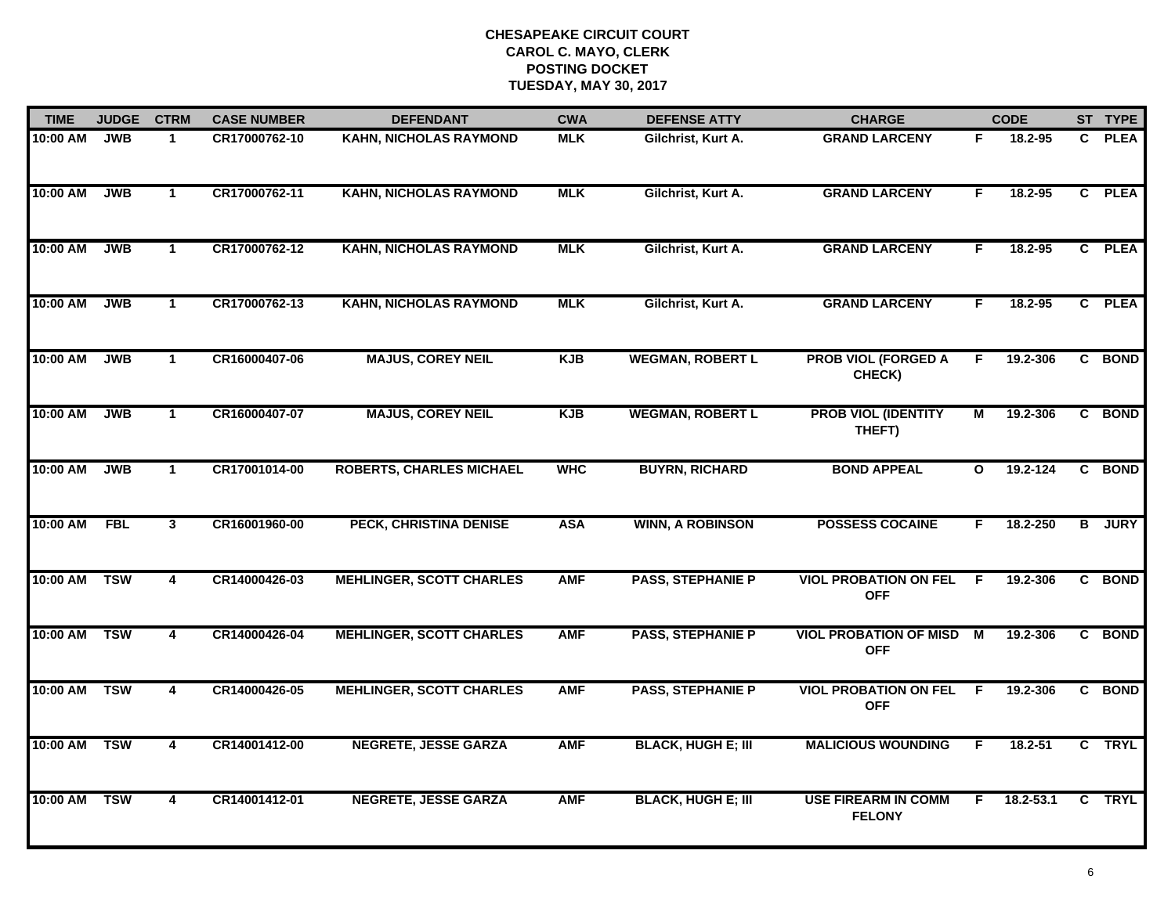| <b>TIME</b> | <b>JUDGE</b> | <b>CTRM</b>             | <b>CASE NUMBER</b> | <b>DEFENDANT</b>                | <b>CWA</b> | <b>DEFENSE ATTY</b>       | <b>CHARGE</b>                               |                | <b>CODE</b> |                | ST TYPE     |
|-------------|--------------|-------------------------|--------------------|---------------------------------|------------|---------------------------|---------------------------------------------|----------------|-------------|----------------|-------------|
| 10:00 AM    | <b>JWB</b>   | $\mathbf{1}$            | CR17000762-10      | KAHN, NICHOLAS RAYMOND          | <b>MLK</b> | Gilchrist, Kurt A.        | <b>GRAND LARCENY</b>                        | F              | 18.2-95     | $\mathbf{c}$   | <b>PLEA</b> |
| 10:00 AM    | <b>JWB</b>   | $\mathbf{1}$            | CR17000762-11      | <b>KAHN, NICHOLAS RAYMOND</b>   | <b>MLK</b> | Gilchrist, Kurt A.        | <b>GRAND LARCENY</b>                        | F              | 18.2-95     |                | C PLEA      |
| 10:00 AM    | <b>JWB</b>   | $\mathbf{1}$            | CR17000762-12      | <b>KAHN, NICHOLAS RAYMOND</b>   | <b>MLK</b> | Gilchrist, Kurt A.        | <b>GRAND LARCENY</b>                        | F.             | 18.2-95     |                | C PLEA      |
| 10:00 AM    | <b>JWB</b>   | $\mathbf{1}$            | CR17000762-13      | <b>KAHN, NICHOLAS RAYMOND</b>   | <b>MLK</b> | Gilchrist, Kurt A.        | <b>GRAND LARCENY</b>                        | F              | 18.2-95     |                | C PLEA      |
| 10:00 AM    | <b>JWB</b>   | $\mathbf{1}$            | CR16000407-06      | <b>MAJUS, COREY NEIL</b>        | <b>KJB</b> | <b>WEGMAN, ROBERT L</b>   | <b>PROB VIOL (FORGED A</b><br>CHECK)        | F.             | 19.2-306    |                | C BOND      |
| 10:00 AM    | <b>JWB</b>   | $\mathbf{1}$            | CR16000407-07      | <b>MAJUS, COREY NEIL</b>        | <b>KJB</b> | <b>WEGMAN, ROBERT L</b>   | <b>PROB VIOL (IDENTITY</b><br>THEFT)        | $\overline{M}$ | 19.2-306    |                | C BOND      |
| 10:00 AM    | <b>JWB</b>   | $\overline{1}$          | CR17001014-00      | <b>ROBERTS, CHARLES MICHAEL</b> | <b>WHC</b> | <b>BUYRN, RICHARD</b>     | <b>BOND APPEAL</b>                          | $\mathbf{o}$   | 19.2-124    | $\overline{c}$ | <b>BOND</b> |
| 10:00 AM    | <b>FBL</b>   | 3                       | CR16001960-00      | PECK, CHRISTINA DENISE          | <b>ASA</b> | <b>WINN, A ROBINSON</b>   | <b>POSSESS COCAINE</b>                      | F.             | 18.2-250    | $\overline{B}$ | <b>JURY</b> |
| 10:00 AM    | <b>TSW</b>   | 4                       | CR14000426-03      | <b>MEHLINGER, SCOTT CHARLES</b> | <b>AMF</b> | <b>PASS, STEPHANIE P</b>  | <b>VIOL PROBATION ON FEL</b><br><b>OFF</b>  | E              | 19.2-306    |                | C BOND      |
| 10:00 AM    | <b>TSW</b>   | 4                       | CR14000426-04      | <b>MEHLINGER, SCOTT CHARLES</b> | <b>AMF</b> | <b>PASS, STEPHANIE P</b>  | <b>VIOL PROBATION OF MISD</b><br><b>OFF</b> | M              | 19.2-306    |                | C BOND      |
| 10:00 AM    | <b>TSW</b>   | $\overline{\mathbf{4}}$ | CR14000426-05      | <b>MEHLINGER, SCOTT CHARLES</b> | <b>AMF</b> | <b>PASS, STEPHANIE P</b>  | <b>VIOL PROBATION ON FEL</b><br><b>OFF</b>  | E              | 19.2-306    |                | C BOND      |
| 10:00 AM    | <b>TSW</b>   | $\overline{4}$          | CR14001412-00      | <b>NEGRETE, JESSE GARZA</b>     | <b>AMF</b> | <b>BLACK, HUGH E; III</b> | <b>MALICIOUS WOUNDING</b>                   | F.             | $18.2 - 51$ |                | C TRYL      |
| 10:00 AM    | <b>TSW</b>   | 4                       | CR14001412-01      | <b>NEGRETE, JESSE GARZA</b>     | <b>AMF</b> | <b>BLACK, HUGH E; III</b> | <b>USE FIREARM IN COMM</b><br><b>FELONY</b> | F.             | 18.2-53.1   | C              | <b>TRYL</b> |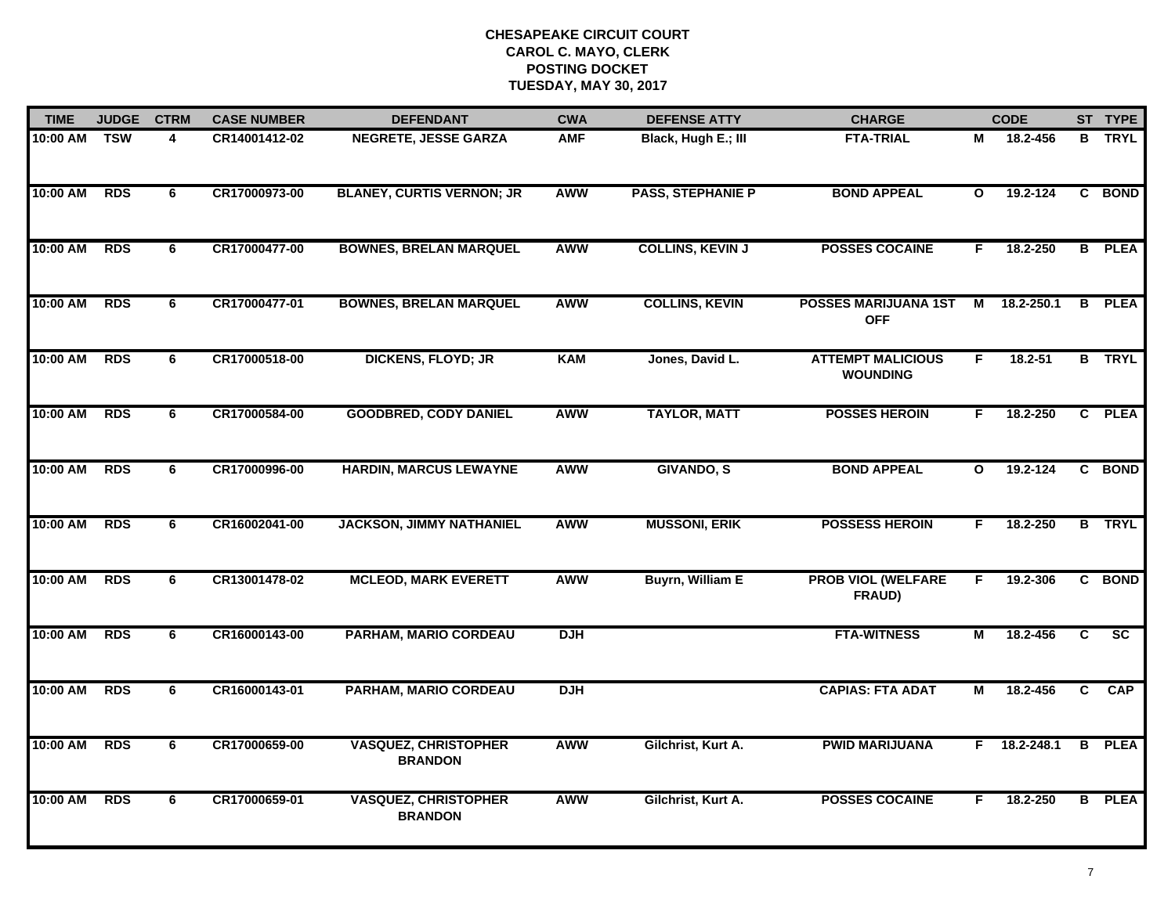| <b>TIME</b> | <b>JUDGE</b>      | <b>CTRM</b>    | <b>CASE NUMBER</b> | <b>DEFENDANT</b>                              | <b>CWA</b> | <b>DEFENSE ATTY</b>      | <b>CHARGE</b>                               |              | <b>CODE</b>    |                | ST TYPE         |
|-------------|-------------------|----------------|--------------------|-----------------------------------------------|------------|--------------------------|---------------------------------------------|--------------|----------------|----------------|-----------------|
| 10:00 AM    | $\overline{T}$ SW | 4              | CR14001412-02      | <b>NEGRETE, JESSE GARZA</b>                   | <b>AMF</b> | Black, Hugh E.; III      | <b>FTA-TRIAL</b>                            | М            | 18.2-456       |                | <b>B</b> TRYL   |
| 10:00 AM    | <b>RDS</b>        | 6              | CR17000973-00      | <b>BLANEY, CURTIS VERNON; JR</b>              | AWW        | <b>PASS, STEPHANIE P</b> | <b>BOND APPEAL</b>                          | $\mathbf{o}$ | 19.2-124       |                | C BOND          |
| 10:00 AM    | <b>RDS</b>        | 6              | CR17000477-00      | <b>BOWNES, BRELAN MARQUEL</b>                 | AWW        | <b>COLLINS, KEVIN J</b>  | <b>POSSES COCAINE</b>                       | F.           | 18.2-250       |                | <b>B</b> PLEA   |
| 10:00 AM    | <b>RDS</b>        | 6              | CR17000477-01      | <b>BOWNES, BRELAN MARQUEL</b>                 | AWW        | <b>COLLINS, KEVIN</b>    | <b>POSSES MARIJUANA 1ST</b><br><b>OFF</b>   | М            | 18.2-250.1     | B              | <b>PLEA</b>     |
| 10:00 AM    | <b>RDS</b>        | 6              | CR17000518-00      | <b>DICKENS, FLOYD; JR</b>                     | <b>KAM</b> | Jones, David L.          | <b>ATTEMPT MALICIOUS</b><br><b>WOUNDING</b> | F.           | $18.2 - 51$    |                | <b>B</b> TRYL   |
| 10:00 AM    | <b>RDS</b>        | 6              | CR17000584-00      | <b>GOODBRED, CODY DANIEL</b>                  | AWW        | <b>TAYLOR, MATT</b>      | <b>POSSES HEROIN</b>                        | F.           | 18.2-250       |                | C PLEA          |
| 10:00 AM    | <b>RDS</b>        | 6              | CR17000996-00      | <b>HARDIN, MARCUS LEWAYNE</b>                 | <b>AWW</b> | <b>GIVANDO, S</b>        | <b>BOND APPEAL</b>                          | $\mathbf{o}$ | 19.2-124       |                | C BOND          |
| 10:00 AM    | <b>RDS</b>        | 6              | CR16002041-00      | <b>JACKSON, JIMMY NATHANIEL</b>               | <b>AWW</b> | <b>MUSSONI, ERIK</b>     | <b>POSSESS HEROIN</b>                       | F            | 18.2-250       |                | <b>B</b> TRYL   |
| 10:00 AM    | <b>RDS</b>        | 6              | CR13001478-02      | <b>MCLEOD, MARK EVERETT</b>                   | AWW        | <b>Buyrn, William E</b>  | <b>PROB VIOL (WELFARE</b><br>FRAUD)         | F            | 19.2-306       |                | C BOND          |
| 10:00 AM    | <b>RDS</b>        | 6              | CR16000143-00      | <b>PARHAM, MARIO CORDEAU</b>                  | <b>DJH</b> |                          | <b>FTA-WITNESS</b>                          | M            | 18.2-456       | C.             | $\overline{SC}$ |
| 10:00 AM    | <b>RDS</b>        | 6              | CR16000143-01      | <b>PARHAM, MARIO CORDEAU</b>                  | <b>DJH</b> |                          | <b>CAPIAS: FTA ADAT</b>                     | М            | 18.2-456       |                | C CAP           |
| 10:00 AM    | RDS               | $\overline{6}$ | CR17000659-00      | <b>VASQUEZ, CHRISTOPHER</b><br><b>BRANDON</b> | AWW        | Gilchrist, Kurt A.       | <b>PWID MARIJUANA</b>                       |              | $F$ 18.2-248.1 | $\overline{B}$ | <b>PLEA</b>     |
| 10:00 AM    | <b>RDS</b>        | 6              | CR17000659-01      | <b>VASQUEZ, CHRISTOPHER</b><br><b>BRANDON</b> | AWW        | Gilchrist, Kurt A.       | <b>POSSES COCAINE</b>                       | F.           | 18.2-250       |                | <b>B</b> PLEA   |